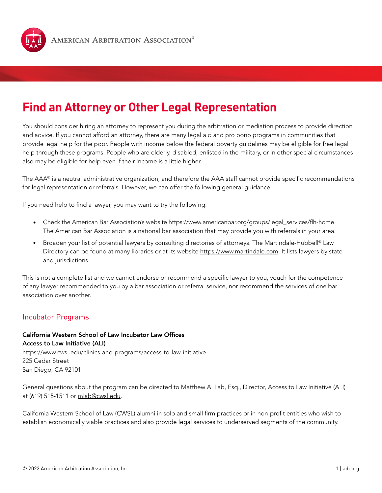

# **Find an Attorney or Other Legal Representation**

You should consider hiring an attorney to represent you during the arbitration or mediation process to provide direction and advice. If you cannot afford an attorney, there are many legal aid and pro bono programs in communities that provide legal help for the poor. People with income below the federal poverty guidelines may be eligible for free legal help through these programs. People who are elderly, disabled, enlisted in the military, or in other special circumstances also may be eligible for help even if their income is a little higher.

The AAA® is a neutral administrative organization, and therefore the AAA staff cannot provide specific recommendations for legal representation or referrals. However, we can offer the following general guidance.

If you need help to find a lawyer, you may want to try the following:

- Check the American Bar Association's website [https://www.americanbar.org/groups/legal\\_services/flh-home.](https://www.americanbar.org/groups/legal_services/flh-home) The American Bar Association is a national bar association that may provide you with referrals in your area.
- Broaden your list of potential lawyers by consulting directories of attorneys. The Martindale-Hubbell® Law Directory can be found at many libraries or at its website <https://www.martindale.com>. It lists lawyers by state and jurisdictions.

This is not a complete list and we cannot endorse or recommend a specific lawyer to you, vouch for the competence of any lawyer recommended to you by a bar association or referral service, nor recommend the services of one bar association over another.

# Incubator Programs

California Western School of Law Incubator Law Offices Access to Law Initiative (ALI) <https://www.cwsl.edu/clinics-and-programs/access-to-law-initiative> 225 Cedar Street San Diego, CA 92101

General questions about the program can be directed to Matthew A. Lab, Esq., Director, Access to Law Initiative (ALI) at (619) 515-1511 or [mlab@cwsl.edu](mailto:mlab@cwsl.edu).

California Western School of Law (CWSL) alumni in solo and small firm practices or in non-profit entities who wish to establish economically viable practices and also provide legal services to underserved segments of the community.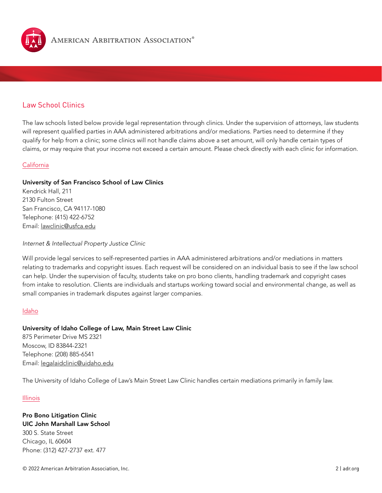

# Law School Clinics

The law schools listed below provide legal representation through clinics. Under the supervision of attorneys, law students will represent qualified parties in AAA administered arbitrations and/or mediations. Parties need to determine if they qualify for help from a clinic; some clinics will not handle claims above a set amount, will only handle certain types of claims, or may require that your income not exceed a certain amount. Please check directly with each clinic for information.

#### California

### University of San Francisco School of Law Clinics

Kendrick Hall, 211 2130 Fulton Street San Francisco, CA 94117-1080 Telephone: (415) 422-6752 Email: [lawclinic@usfca.edu](mailto:lawclinic@usfca.edu)

#### *Internet & Intellectual Property Justice Clinic*

Will provide legal services to self-represented parties in AAA administered arbitrations and/or mediations in matters relating to trademarks and copyright issues. Each request will be considered on an individual basis to see if the law school can help. Under the supervision of faculty, students take on pro bono clients, handling trademark and copyright cases from intake to resolution. Clients are individuals and startups working toward social and environmental change, as well as small companies in trademark disputes against larger companies.

#### Idaho

#### University of Idaho College of Law, Main Street Law Clinic

875 Perimeter Drive MS 2321 Moscow, ID 83844-2321 Telephone: (208) 885-6541 Email: [legalaidclinic@uidaho.edu](mailto:legalaidclinic@uidaho.edu)

The University of Idaho College of Law's Main Street Law Clinic handles certain mediations primarily in family law.

#### Illinois

## Pro Bono Litigation Clinic UIC John Marshall Law School 300 S. State Street Chicago, IL 60604 Phone: (312) 427-2737 ext. 477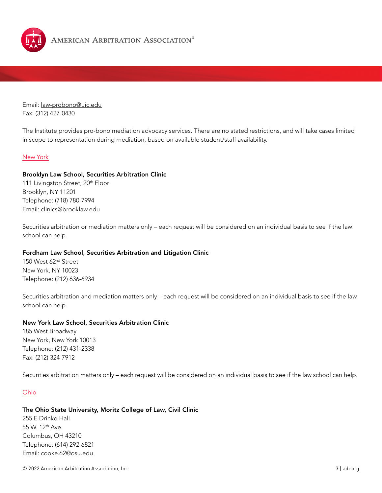

Email: [law-probono@uic.edu](mailto:law-probono@uic.edu) Fax: (312) 427-0430

The Institute provides pro-bono mediation advocacy services. There are no stated restrictions, and will take cases limited in scope to representation during mediation, based on available student/staff availability.

#### New York

#### Brooklyn Law School, Securities Arbitration Clinic

111 Livingston Street, 20<sup>th</sup> Floor Brooklyn, NY 11201 Telephone: (718) 780-7994 Email: [clinics@brooklaw.edu](mailto:clinics%40brooklaw.edu?subject=)

Securities arbitration or mediation matters only – each request will be considered on an individual basis to see if the law school can help.

#### Fordham Law School, Securities Arbitration and Litigation Clinic

150 West 62nd Street New York, NY 10023 Telephone: (212) 636-6934

Securities arbitration and mediation matters only – each request will be considered on an individual basis to see if the law school can help.

#### New York Law School, Securities Arbitration Clinic

185 West Broadway New York, New York 10013 Telephone: (212) 431-2338 Fax: (212) 324-7912

Securities arbitration matters only – each request will be considered on an individual basis to see if the law school can help.

#### Ohio

#### The Ohio State University, Moritz College of Law, Civil Clinic

255 E Drinko Hall 55 W. 12th Ave. Columbus, OH 43210 Telephone: (614) 292-6821 Email: [cooke.62@osu.edu](mailto:cooke.62%40osu.edu?subject=)

© 2022 American Arbitration Association, Inc. 3 | adr.org